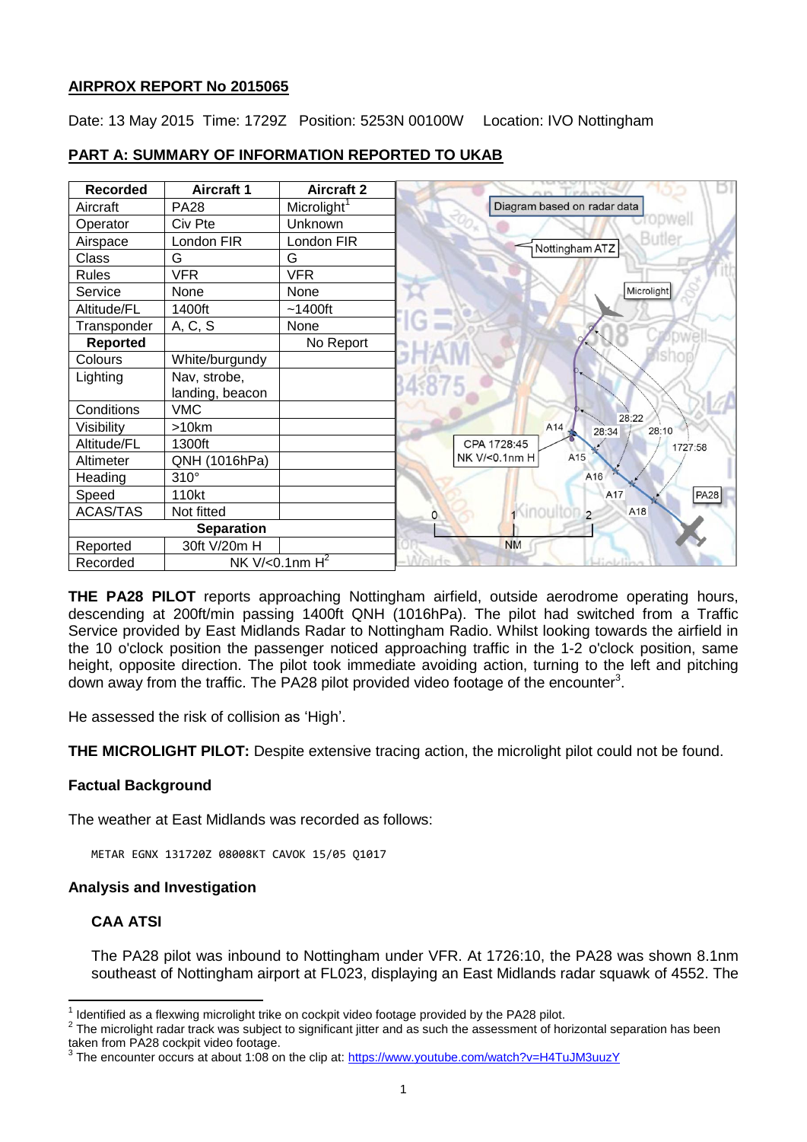## **AIRPROX REPORT No 2015065**

Date: 13 May 2015 Time: 1729Z Position: 5253N 00100W Location: IVO Nottingham

| <b>Recorded</b>   | <b>Aircraft 1</b>     | <b>Aircraft 2</b>       |                                                |
|-------------------|-----------------------|-------------------------|------------------------------------------------|
| Aircraft          | <b>PA28</b>           | Microlight <sup>1</sup> | Diagram based on radar data                    |
| Operator          | Civ Pte               | Unknown                 |                                                |
| Airspace          | London FIR            | London FIR              | Butler<br>Nottingham ATZ                       |
| Class             | G                     | G                       |                                                |
| <b>Rules</b>      | <b>VFR</b>            | <b>VFR</b>              |                                                |
| Service           | None                  | None                    | Microlight                                     |
| Altitude/FL       | 1400ft                | $~1400$ ft              |                                                |
| Transponder       | A, C, S               | None                    |                                                |
| <b>Reported</b>   |                       | No Report               |                                                |
| Colours           | White/burgundy        |                         |                                                |
| Lighting          | Nav, strobe,          |                         |                                                |
|                   | landing, beacon       |                         |                                                |
| Conditions        | <b>VMC</b>            |                         | 28:22                                          |
| Visibility        | >10km                 |                         | A14<br>28:10<br>28:34                          |
| Altitude/FL       | 1300ft                |                         | CPA 1728:45<br>1727:58                         |
| Altimeter         | QNH (1016hPa)         |                         | A15<br>NK V/<0.1nm H                           |
| Heading           | $310^\circ$           |                         | A16                                            |
| Speed             | 110kt                 |                         | A17<br><b>PA28</b>                             |
| <b>ACAS/TAS</b>   | Not fitted            |                         | <sup>1</sup> inouiton <sub>2</sub><br>A18<br>0 |
| <b>Separation</b> |                       |                         |                                                |
| Reported          | 30ft V/20m H          |                         | <b>NM</b>                                      |
| Recorded          | NK V/< $0.1$ nm $H^2$ |                         | Walde<br>Hickling                              |

# **PART A: SUMMARY OF INFORMATION REPORTED TO UKAB**

**THE PA28 PILOT** reports approaching Nottingham airfield, outside aerodrome operating hours, descending at 200ft/min passing 1400ft QNH (1016hPa). The pilot had switched from a Traffic Service provided by East Midlands Radar to Nottingham Radio. Whilst looking towards the airfield in the 10 o'clock position the passenger noticed approaching traffic in the 1-2 o'clock position, same height, opposite direction. The pilot took immediate avoiding action, turning to the left and pitching down away from the traffic. The PA28 pilot provided video footage of the encounter<sup>3</sup>.

He assessed the risk of collision as 'High'.

**THE MICROLIGHT PILOT:** Despite extensive tracing action, the microlight pilot could not be found.

## **Factual Background**

The weather at East Midlands was recorded as follows:

METAR EGNX 131720Z 08008KT CAVOK 15/05 Q1017

## **Analysis and Investigation**

## **CAA ATSI**

 $\overline{a}$ 

The PA28 pilot was inbound to Nottingham under VFR. At 1726:10, the PA28 was shown 8.1nm southeast of Nottingham airport at FL023, displaying an East Midlands radar squawk of 4552. The

 $2$  The microlight radar track was subject to significant jitter and as such the assessment of horizontal separation has been taken from PA28 cockpit video footage.

 $1$  Identified as a flexwing microlight trike on cockpit video footage provided by the PA28 pilot.

<sup>&</sup>lt;sup>3</sup> The encounter occurs at about 1:08 on the clip at: <https://www.youtube.com/watch?v=H4TuJM3uuzY>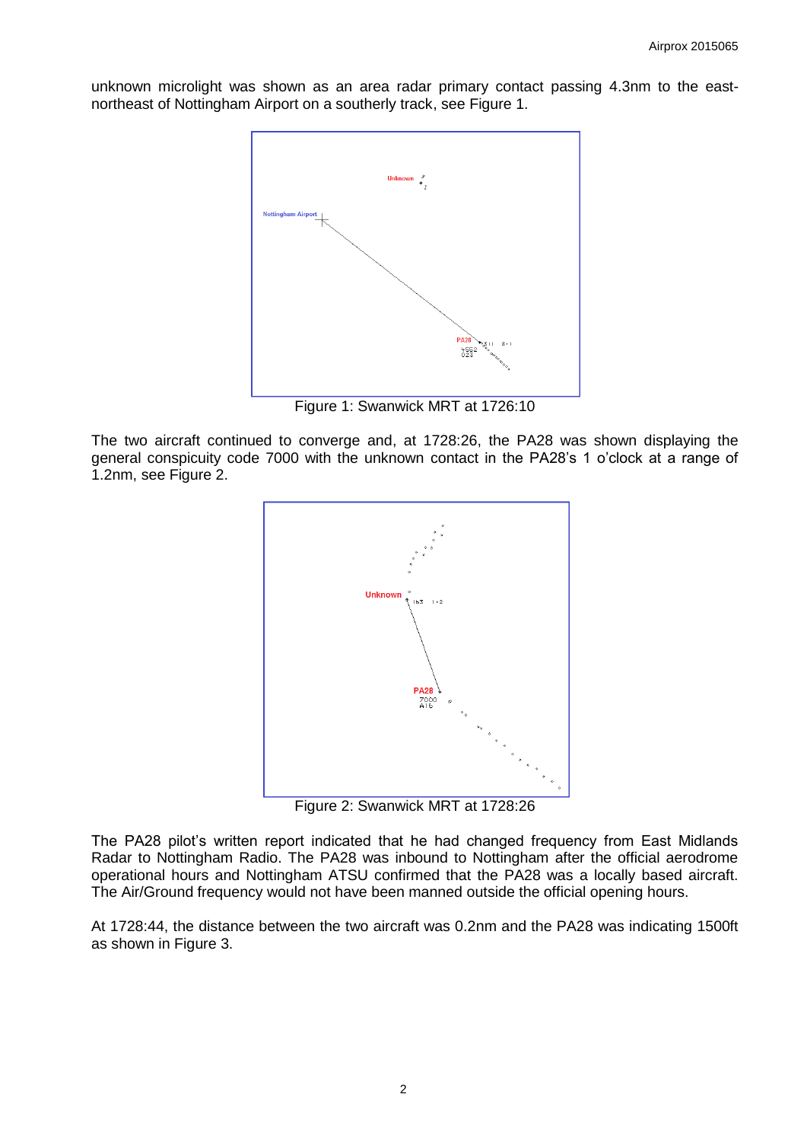unknown microlight was shown as an area radar primary contact passing 4.3nm to the eastnortheast of Nottingham Airport on a southerly track, see Figure 1.



Figure 1: Swanwick MRT at 1726:10

The two aircraft continued to converge and, at 1728:26, the PA28 was shown displaying the general conspicuity code 7000 with the unknown contact in the PA28's 1 o'clock at a range of 1.2nm, see Figure 2.



Figure 2: Swanwick MRT at 1728:26

The PA28 pilot's written report indicated that he had changed frequency from East Midlands Radar to Nottingham Radio. The PA28 was inbound to Nottingham after the official aerodrome operational hours and Nottingham ATSU confirmed that the PA28 was a locally based aircraft. The Air/Ground frequency would not have been manned outside the official opening hours.

At 1728:44, the distance between the two aircraft was 0.2nm and the PA28 was indicating 1500ft as shown in Figure 3.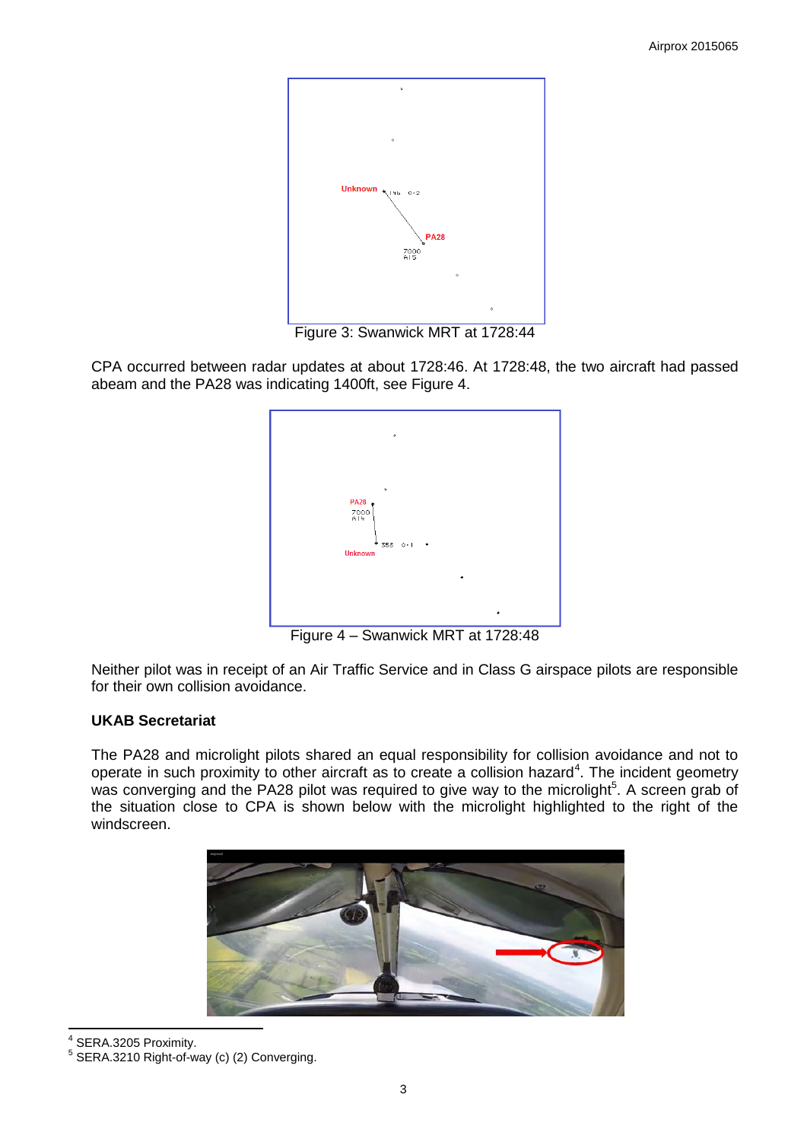

Figure 3: Swanwick MRT at 1728:44

CPA occurred between radar updates at about 1728:46. At 1728:48, the two aircraft had passed abeam and the PA28 was indicating 1400ft, see Figure 4.



Figure 4 – Swanwick MRT at 1728:48

Neither pilot was in receipt of an Air Traffic Service and in Class G airspace pilots are responsible for their own collision avoidance.

## **UKAB Secretariat**

The PA28 and microlight pilots shared an equal responsibility for collision avoidance and not to operate in such proximity to other aircraft as to create a collision hazard<sup>4</sup>. The incident geometry was converging and the PA28 pilot was required to give way to the microlight<sup>5</sup>. A screen grab of the situation close to CPA is shown below with the microlight highlighted to the right of the windscreen.



4 SERA.3205 Proximity.

<sup>5</sup> SERA.3210 Right-of-way (c) (2) Converging.